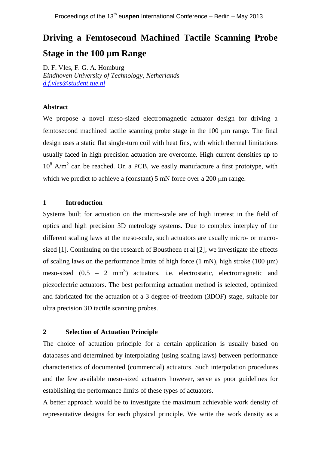# **Driving a Femtosecond Machined Tactile Scanning Probe Stage in the 100 µm Range**

D. F. Vles, F. G. A. Homburg *Eindhoven University of Technology, Netherlands [d.f.vles@student.tue.nl](mailto:d.f.vles@student.tue.nl)*

## **Abstract**

We propose a novel meso-sized electromagnetic actuator design for driving a femtosecond machined tactile scanning probe stage in the 100 µm range. The final design uses a static flat single-turn coil with heat fins, with which thermal limitations usually faced in high precision actuation are overcome. High current densities up to  $10^8$  A/m<sup>2</sup> can be reached. On a PCB, we easily manufacture a first prototype, with which we predict to achieve a (constant)  $5 \text{ mN}$  force over a 200  $\mu$ m range.

### **1 Introduction**

Systems built for actuation on the micro-scale are of high interest in the field of optics and high precision 3D metrology systems. Due to complex interplay of the different scaling laws at the meso-scale, such actuators are usually micro- or macrosized [1]. Continuing on the research of Boustheen et al [2], we investigate the effects of scaling laws on the performance limits of high force (1 mN), high stroke (100 μm) meso-sized  $(0.5 - 2 \text{ mm}^3)$  actuators, i.e. electrostatic, electromagnetic and piezoelectric actuators. The best performing actuation method is selected, optimized and fabricated for the actuation of a 3 degree-of-freedom (3DOF) stage, suitable for ultra precision 3D tactile scanning probes.

## **2 Selection of Actuation Principle**

The choice of actuation principle for a certain application is usually based on databases and determined by interpolating (using scaling laws) between performance characteristics of documented (commercial) actuators. Such interpolation procedures and the few available meso-sized actuators however, serve as poor guidelines for establishing the performance limits of these types of actuators.

A better approach would be to investigate the maximum achievable work density of representative designs for each physical principle. We write the work density as a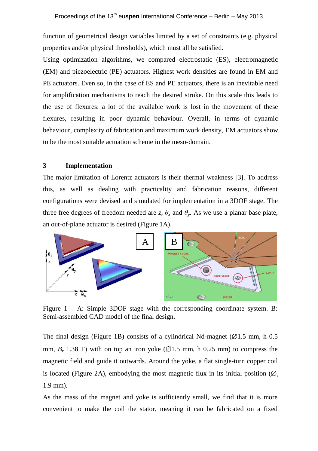function of geometrical design variables limited by a set of constraints (e.g. physical properties and/or physical thresholds), which must all be satisfied.

Using optimization algorithms, we compared electrostatic (ES), electromagnetic (EM) and piezoelectric (PE) actuators. Highest work densities are found in EM and PE actuators. Even so, in the case of ES and PE actuators, there is an inevitable need for amplification mechanisms to reach the desired stroke. On this scale this leads to the use of flexures: a lot of the available work is lost in the movement of these flexures, resulting in poor dynamic behaviour. Overall, in terms of dynamic behaviour, complexity of fabrication and maximum work density, EM actuators show to be the most suitable actuation scheme in the meso-domain.

## **3 Implementation**

The major limitation of Lorentz actuators is their thermal weakness [3]. To address this, as well as dealing with practicality and fabrication reasons, different configurations were devised and simulated for implementation in a 3DOF stage. The three free degrees of freedom needed are *z*,  $\theta_x$  and  $\theta_y$ . As we use a planar base plate, an out-of-plane actuator is desired (Figure 1A).



Figure  $1 - A$ : Simple 3DOF stage with the corresponding coordinate system. B: Semi-assembled CAD model of the final design.

The final design (Figure 1B) consists of a cylindrical Nd-magnet ( $\varnothing$ 1.5 mm, h 0.5 mm,  $B_r$  1.38 T) with on top an iron yoke ( $\emptyset$ 1.5 mm, h 0.25 mm) to compress the magnetic field and guide it outwards. Around the yoke, a flat single-turn copper coil is located (Figure 2A), embodying the most magnetic flux in its initial position ( $\emptyset$ . 1.9 mm).

As the mass of the magnet and yoke is sufficiently small, we find that it is more convenient to make the coil the stator, meaning it can be fabricated on a fixed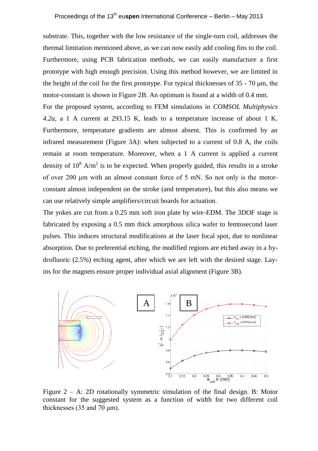substrate. This, together with the low resistance of the single-turn coil, addresses the thermal limitation mentioned above, as we can now easily add cooling fins to the coil. Furthermore, using PCB fabrication methods, we can easily manufacture a first prototype with high enough precision. Using this method however, we are limited in the height of the coil for the first prototype. For typical thicknesses of 35 - 70 μm, the motor-constant is shown in Figure 2B. An optimum is found at a width of 0.4 mm.

For the proposed system, according to FEM simulations in *COMSOL Multiphysics 4.2a*, a 1 A current at 293.15 K, leads to a temperature increase of about 1 K. Furthermore, temperature gradients are almost absent. This is confirmed by an infrared measurement (Figure 3A): when subjected to a current of 0.8 A, the coils remain at room temperature. Moreover, when a 1 A current is applied a current density of  $10^8$  A/m<sup>2</sup> is to be expected. When properly guided, this results in a stroke of over 200 μm with an almost constant force of 5 mN. So not only is the motorconstant almost independent on the stroke (and temperature), but this also means we can use relatively simple amplifiers/circuit boards for actuation.

The yokes are cut from a 0.25 mm soft iron plate by wire-EDM. The 3DOF stage is fabricated by exposing a 0.5 mm thick amorphous silica wafer to femtosecond laser pulses. This induces structural modifications at the laser focal spot, due to nonlinear absorption. Due to preferential etching, the modified regions are etched away in a hydrofluoric (2.5%) etching agent, after which we are left with the desired stage. Layins for the magnets ensure proper individual axial alignment (Figure 3B).



Figure 2 – A: 2D rotationally symmetric simulation of the final design. B: Motor constant for the suggested system as a function of width for two different coil thicknesses (35 and 70 μm).